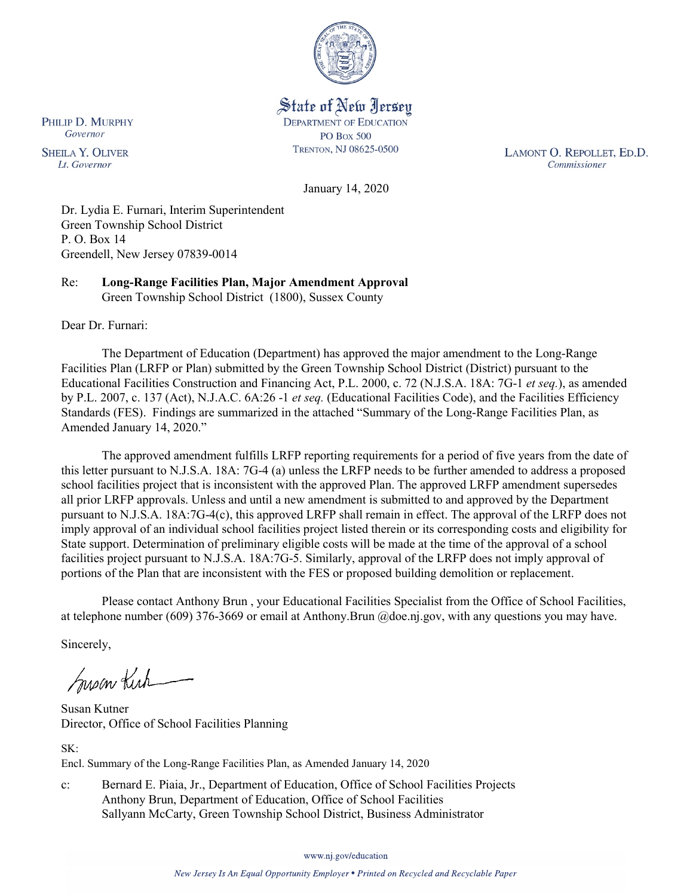

State of New Jersey **DEPARTMENT OF EDUCATION PO Box 500** TRENTON, NJ 08625-0500

LAMONT O. REPOLLET, ED.D. Commissioner

January 14, 2020

Dr. Lydia E. Furnari, Interim Superintendent Green Township School District P. O. Box 14 Greendell, New Jersey 07839-0014

Re: **Long-Range Facilities Plan, Major Amendment Approval** Green Township School District (1800), Sussex County

Dear Dr. Furnari:

PHILIP D. MURPHY Governor

**SHEILA Y. OLIVER** 

Lt. Governor

The Department of Education (Department) has approved the major amendment to the Long-Range Facilities Plan (LRFP or Plan) submitted by the Green Township School District (District) pursuant to the Educational Facilities Construction and Financing Act, P.L. 2000, c. 72 (N.J.S.A. 18A: 7G-1 *et seq.*), as amended by P.L. 2007, c. 137 (Act), N.J.A.C. 6A:26 -1 *et seq.* (Educational Facilities Code), and the Facilities Efficiency Standards (FES). Findings are summarized in the attached "Summary of the Long-Range Facilities Plan, as Amended January 14, 2020."

The approved amendment fulfills LRFP reporting requirements for a period of five years from the date of this letter pursuant to N.J.S.A. 18A: 7G-4 (a) unless the LRFP needs to be further amended to address a proposed school facilities project that is inconsistent with the approved Plan. The approved LRFP amendment supersedes all prior LRFP approvals. Unless and until a new amendment is submitted to and approved by the Department pursuant to N.J.S.A. 18A:7G-4(c), this approved LRFP shall remain in effect. The approval of the LRFP does not imply approval of an individual school facilities project listed therein or its corresponding costs and eligibility for State support. Determination of preliminary eligible costs will be made at the time of the approval of a school facilities project pursuant to N.J.S.A. 18A:7G-5. Similarly, approval of the LRFP does not imply approval of portions of the Plan that are inconsistent with the FES or proposed building demolition or replacement.

Please contact Anthony Brun , your Educational Facilities Specialist from the Office of School Facilities, at telephone number (609) 376-3669 or email at Anthony.Brun @doe.nj.gov, with any questions you may have.

Sincerely,

Susan Kich

Susan Kutner Director, Office of School Facilities Planning

SK:

Encl. Summary of the Long-Range Facilities Plan, as Amended January 14, 2020

c: Bernard E. Piaia, Jr., Department of Education, Office of School Facilities Projects Anthony Brun, Department of Education, Office of School Facilities Sallyann McCarty, Green Township School District, Business Administrator

www.nj.gov/education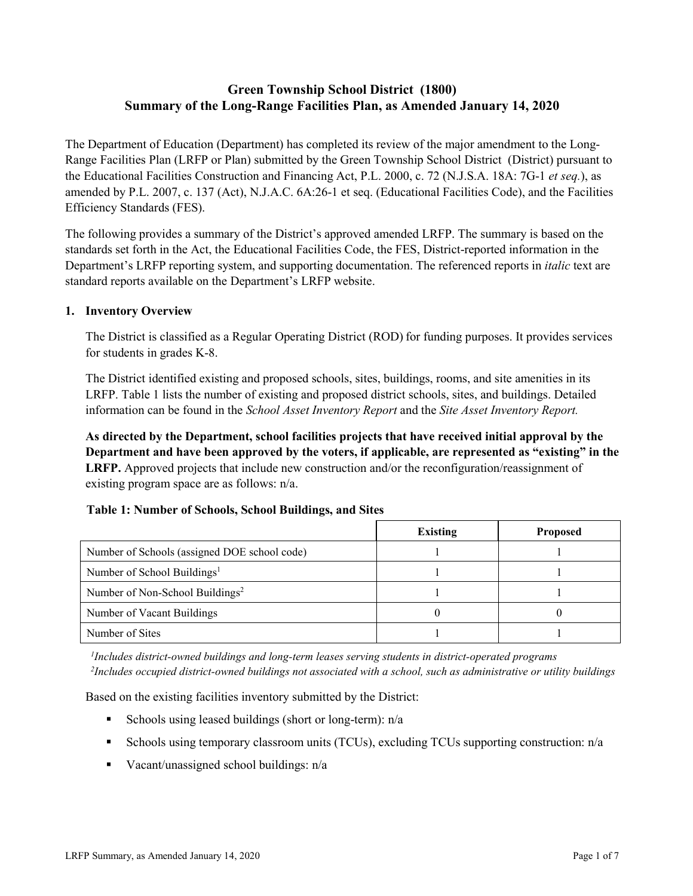# **Green Township School District (1800) Summary of the Long-Range Facilities Plan, as Amended January 14, 2020**

The Department of Education (Department) has completed its review of the major amendment to the Long-Range Facilities Plan (LRFP or Plan) submitted by the Green Township School District (District) pursuant to the Educational Facilities Construction and Financing Act, P.L. 2000, c. 72 (N.J.S.A. 18A: 7G-1 *et seq.*), as amended by P.L. 2007, c. 137 (Act), N.J.A.C. 6A:26-1 et seq. (Educational Facilities Code), and the Facilities Efficiency Standards (FES).

The following provides a summary of the District's approved amended LRFP. The summary is based on the standards set forth in the Act, the Educational Facilities Code, the FES, District-reported information in the Department's LRFP reporting system, and supporting documentation. The referenced reports in *italic* text are standard reports available on the Department's LRFP website.

### **1. Inventory Overview**

The District is classified as a Regular Operating District (ROD) for funding purposes. It provides services for students in grades K-8.

The District identified existing and proposed schools, sites, buildings, rooms, and site amenities in its LRFP. Table 1 lists the number of existing and proposed district schools, sites, and buildings. Detailed information can be found in the *School Asset Inventory Report* and the *Site Asset Inventory Report.*

**As directed by the Department, school facilities projects that have received initial approval by the Department and have been approved by the voters, if applicable, are represented as "existing" in the LRFP.** Approved projects that include new construction and/or the reconfiguration/reassignment of existing program space are as follows: n/a.

#### **Table 1: Number of Schools, School Buildings, and Sites**

|                                              | Existing | <b>Proposed</b> |
|----------------------------------------------|----------|-----------------|
| Number of Schools (assigned DOE school code) |          |                 |
| Number of School Buildings <sup>1</sup>      |          |                 |
| Number of Non-School Buildings <sup>2</sup>  |          |                 |
| Number of Vacant Buildings                   |          |                 |
| Number of Sites                              |          |                 |

*1 Includes district-owned buildings and long-term leases serving students in district-operated programs 2 Includes occupied district-owned buildings not associated with a school, such as administrative or utility buildings*

Based on the existing facilities inventory submitted by the District:

- Schools using leased buildings (short or long-term):  $n/a$
- Schools using temporary classroom units (TCUs), excluding TCUs supporting construction: n/a
- Vacant/unassigned school buildings:  $n/a$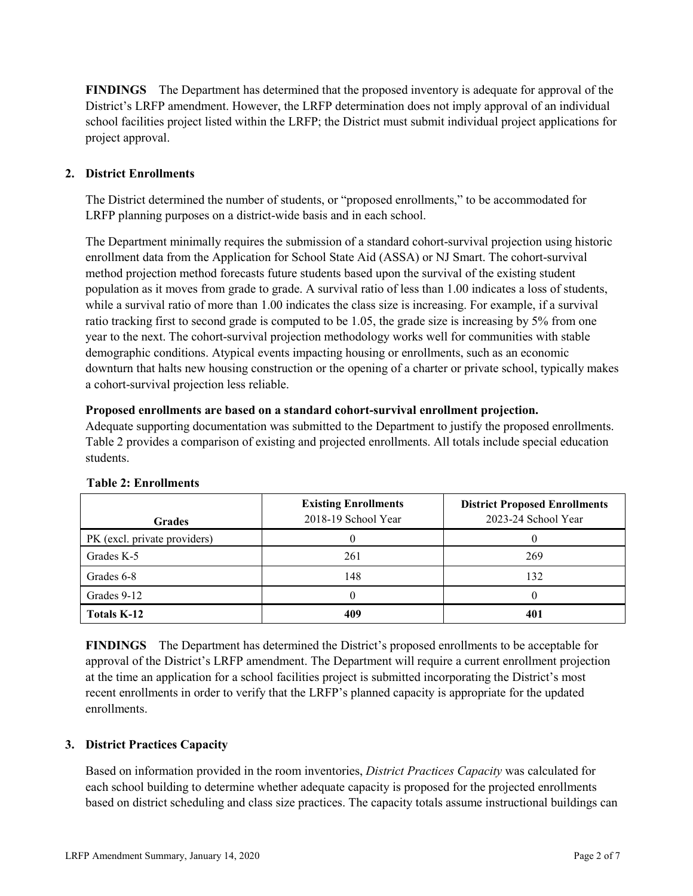**FINDINGS** The Department has determined that the proposed inventory is adequate for approval of the District's LRFP amendment. However, the LRFP determination does not imply approval of an individual school facilities project listed within the LRFP; the District must submit individual project applications for project approval.

# **2. District Enrollments**

The District determined the number of students, or "proposed enrollments," to be accommodated for LRFP planning purposes on a district-wide basis and in each school.

The Department minimally requires the submission of a standard cohort-survival projection using historic enrollment data from the Application for School State Aid (ASSA) or NJ Smart. The cohort-survival method projection method forecasts future students based upon the survival of the existing student population as it moves from grade to grade. A survival ratio of less than 1.00 indicates a loss of students, while a survival ratio of more than 1.00 indicates the class size is increasing. For example, if a survival ratio tracking first to second grade is computed to be 1.05, the grade size is increasing by 5% from one year to the next. The cohort-survival projection methodology works well for communities with stable demographic conditions. Atypical events impacting housing or enrollments, such as an economic downturn that halts new housing construction or the opening of a charter or private school, typically makes a cohort-survival projection less reliable.

### **Proposed enrollments are based on a standard cohort-survival enrollment projection.**

Adequate supporting documentation was submitted to the Department to justify the proposed enrollments. Table 2 provides a comparison of existing and projected enrollments. All totals include special education students.

| <b>Grades</b>                | <b>Existing Enrollments</b><br>2018-19 School Year | <b>District Proposed Enrollments</b><br>2023-24 School Year |
|------------------------------|----------------------------------------------------|-------------------------------------------------------------|
| PK (excl. private providers) |                                                    |                                                             |
| Grades K-5                   | 261                                                | 269                                                         |
| Grades 6-8                   | 148                                                | 132                                                         |
| Grades 9-12                  |                                                    |                                                             |
| <b>Totals K-12</b>           | 409                                                | 401                                                         |

# **Table 2: Enrollments**

**FINDINGS** The Department has determined the District's proposed enrollments to be acceptable for approval of the District's LRFP amendment. The Department will require a current enrollment projection at the time an application for a school facilities project is submitted incorporating the District's most recent enrollments in order to verify that the LRFP's planned capacity is appropriate for the updated enrollments.

# **3. District Practices Capacity**

Based on information provided in the room inventories, *District Practices Capacity* was calculated for each school building to determine whether adequate capacity is proposed for the projected enrollments based on district scheduling and class size practices. The capacity totals assume instructional buildings can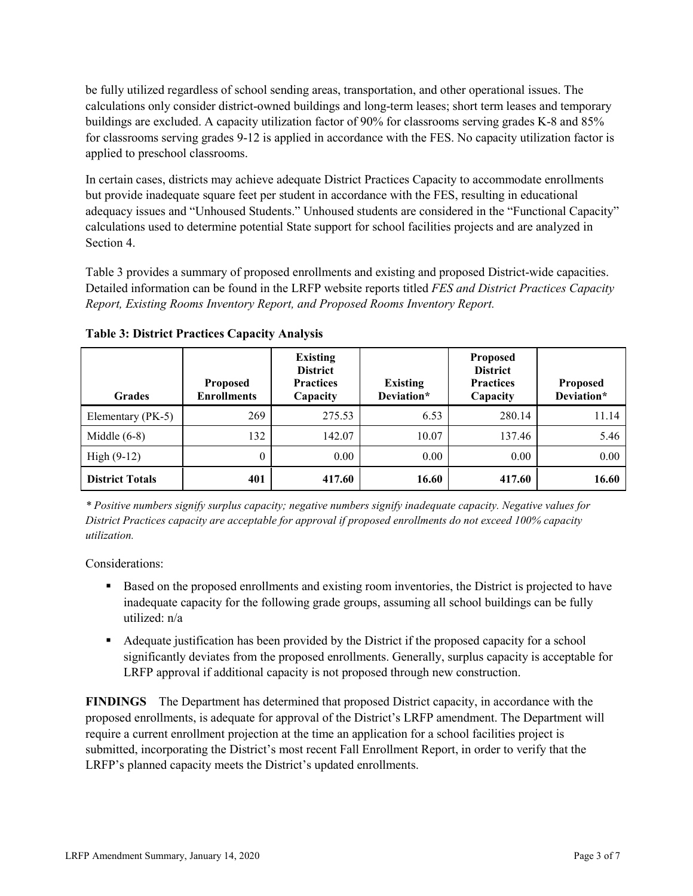be fully utilized regardless of school sending areas, transportation, and other operational issues. The calculations only consider district-owned buildings and long-term leases; short term leases and temporary buildings are excluded. A capacity utilization factor of 90% for classrooms serving grades K-8 and 85% for classrooms serving grades 9-12 is applied in accordance with the FES. No capacity utilization factor is applied to preschool classrooms.

In certain cases, districts may achieve adequate District Practices Capacity to accommodate enrollments but provide inadequate square feet per student in accordance with the FES, resulting in educational adequacy issues and "Unhoused Students." Unhoused students are considered in the "Functional Capacity" calculations used to determine potential State support for school facilities projects and are analyzed in Section 4.

Table 3 provides a summary of proposed enrollments and existing and proposed District-wide capacities. Detailed information can be found in the LRFP website reports titled *FES and District Practices Capacity Report, Existing Rooms Inventory Report, and Proposed Rooms Inventory Report.*

| <b>Grades</b>          | <b>Proposed</b><br><b>Enrollments</b> | <b>Existing</b><br><b>District</b><br><b>Practices</b><br>Capacity | <b>Existing</b><br>Deviation* | <b>Proposed</b><br><b>District</b><br><b>Practices</b><br>Capacity | <b>Proposed</b><br>Deviation* |
|------------------------|---------------------------------------|--------------------------------------------------------------------|-------------------------------|--------------------------------------------------------------------|-------------------------------|
| Elementary (PK-5)      | 269                                   | 275.53                                                             | 6.53                          | 280.14                                                             | 11.14                         |
| Middle $(6-8)$         | 132                                   | 142.07                                                             | 10.07                         | 137.46                                                             | 5.46                          |
| High $(9-12)$          | $\theta$                              | 0.00                                                               | 0.00                          | 0.00                                                               | 0.00                          |
| <b>District Totals</b> | 401                                   | 417.60                                                             | 16.60                         | 417.60                                                             | 16.60                         |

**Table 3: District Practices Capacity Analysis**

*\* Positive numbers signify surplus capacity; negative numbers signify inadequate capacity. Negative values for District Practices capacity are acceptable for approval if proposed enrollments do not exceed 100% capacity utilization.*

Considerations:

- **Based on the proposed enrollments and existing room inventories, the District is projected to have** inadequate capacity for the following grade groups, assuming all school buildings can be fully utilized: n/a
- Adequate justification has been provided by the District if the proposed capacity for a school significantly deviates from the proposed enrollments. Generally, surplus capacity is acceptable for LRFP approval if additional capacity is not proposed through new construction.

**FINDINGS**The Department has determined that proposed District capacity, in accordance with the proposed enrollments, is adequate for approval of the District's LRFP amendment. The Department will require a current enrollment projection at the time an application for a school facilities project is submitted, incorporating the District's most recent Fall Enrollment Report, in order to verify that the LRFP's planned capacity meets the District's updated enrollments.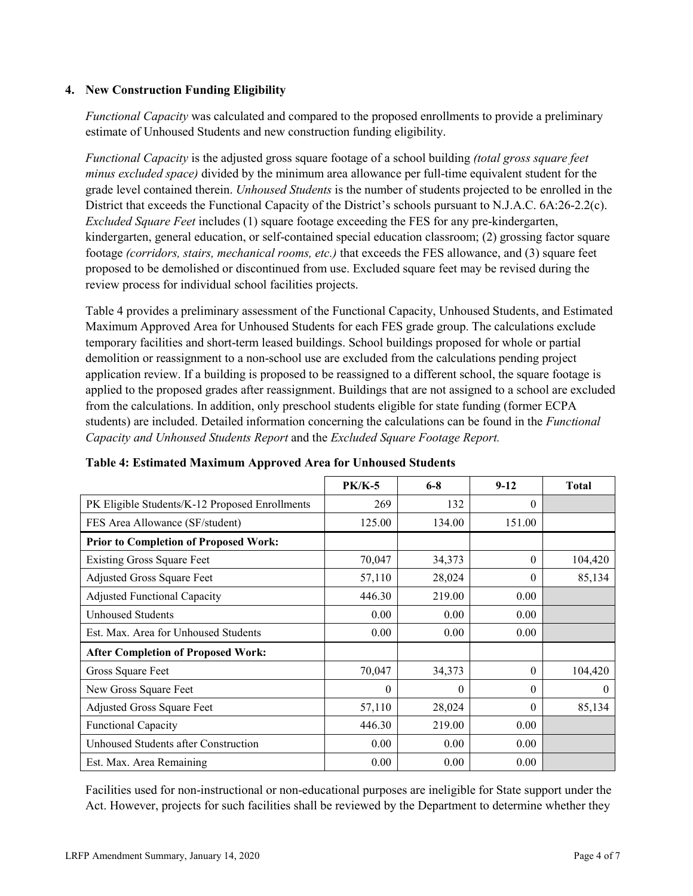### **4. New Construction Funding Eligibility**

*Functional Capacity* was calculated and compared to the proposed enrollments to provide a preliminary estimate of Unhoused Students and new construction funding eligibility.

*Functional Capacity* is the adjusted gross square footage of a school building *(total gross square feet minus excluded space)* divided by the minimum area allowance per full-time equivalent student for the grade level contained therein. *Unhoused Students* is the number of students projected to be enrolled in the District that exceeds the Functional Capacity of the District's schools pursuant to N.J.A.C. 6A:26-2.2(c). *Excluded Square Feet* includes (1) square footage exceeding the FES for any pre-kindergarten, kindergarten, general education, or self-contained special education classroom; (2) grossing factor square footage *(corridors, stairs, mechanical rooms, etc.)* that exceeds the FES allowance, and (3) square feet proposed to be demolished or discontinued from use. Excluded square feet may be revised during the review process for individual school facilities projects.

Table 4 provides a preliminary assessment of the Functional Capacity, Unhoused Students, and Estimated Maximum Approved Area for Unhoused Students for each FES grade group. The calculations exclude temporary facilities and short-term leased buildings. School buildings proposed for whole or partial demolition or reassignment to a non-school use are excluded from the calculations pending project application review. If a building is proposed to be reassigned to a different school, the square footage is applied to the proposed grades after reassignment. Buildings that are not assigned to a school are excluded from the calculations. In addition, only preschool students eligible for state funding (former ECPA students) are included. Detailed information concerning the calculations can be found in the *Functional Capacity and Unhoused Students Report* and the *Excluded Square Footage Report.*

|                                                | <b>PK/K-5</b> | $6 - 8$  | $9 - 12$ | <b>Total</b> |
|------------------------------------------------|---------------|----------|----------|--------------|
| PK Eligible Students/K-12 Proposed Enrollments | 269           | 132      | $\Omega$ |              |
| FES Area Allowance (SF/student)                | 125.00        | 134.00   | 151.00   |              |
| <b>Prior to Completion of Proposed Work:</b>   |               |          |          |              |
| <b>Existing Gross Square Feet</b>              | 70,047        | 34,373   | $\Omega$ | 104,420      |
| <b>Adjusted Gross Square Feet</b>              | 57,110        | 28,024   | $\theta$ | 85,134       |
| <b>Adjusted Functional Capacity</b>            | 446.30        | 219.00   | 0.00     |              |
| Unhoused Students                              | 0.00          | 0.00     | 0.00     |              |
| Est. Max. Area for Unhoused Students           | 0.00          | 0.00     | 0.00     |              |
| <b>After Completion of Proposed Work:</b>      |               |          |          |              |
| Gross Square Feet                              | 70,047        | 34,373   | $\theta$ | 104,420      |
| New Gross Square Feet                          | 0             | $\theta$ | $\Omega$ | $\theta$     |
| <b>Adjusted Gross Square Feet</b>              | 57,110        | 28,024   | $\Omega$ | 85,134       |
| <b>Functional Capacity</b>                     | 446.30        | 219.00   | 0.00     |              |
| Unhoused Students after Construction           | 0.00          | 0.00     | 0.00     |              |
| Est. Max. Area Remaining                       | 0.00          | 0.00     | 0.00     |              |

# **Table 4: Estimated Maximum Approved Area for Unhoused Students**

Facilities used for non-instructional or non-educational purposes are ineligible for State support under the Act. However, projects for such facilities shall be reviewed by the Department to determine whether they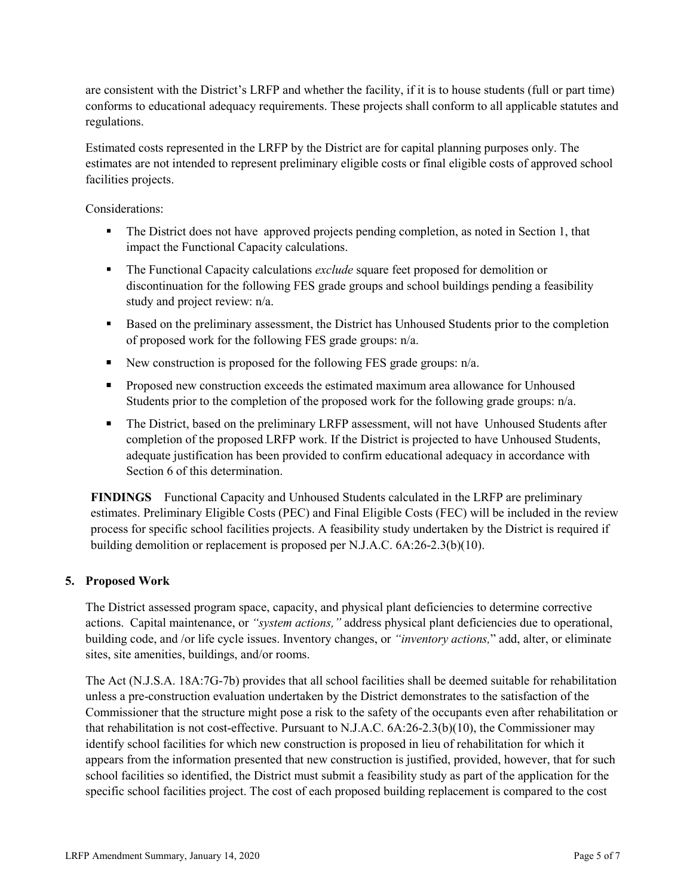are consistent with the District's LRFP and whether the facility, if it is to house students (full or part time) conforms to educational adequacy requirements. These projects shall conform to all applicable statutes and regulations.

Estimated costs represented in the LRFP by the District are for capital planning purposes only. The estimates are not intended to represent preliminary eligible costs or final eligible costs of approved school facilities projects.

Considerations:

- The District does not have approved projects pending completion, as noted in Section 1, that impact the Functional Capacity calculations.
- The Functional Capacity calculations *exclude* square feet proposed for demolition or discontinuation for the following FES grade groups and school buildings pending a feasibility study and project review: n/a.
- Based on the preliminary assessment, the District has Unhoused Students prior to the completion of proposed work for the following FES grade groups: n/a.
- New construction is proposed for the following FES grade groups:  $n/a$ .
- **Proposed new construction exceeds the estimated maximum area allowance for Unhoused** Students prior to the completion of the proposed work for the following grade groups: n/a.
- The District, based on the preliminary LRFP assessment, will not have Unhoused Students after completion of the proposed LRFP work. If the District is projected to have Unhoused Students, adequate justification has been provided to confirm educational adequacy in accordance with Section 6 of this determination.

**FINDINGS** Functional Capacity and Unhoused Students calculated in the LRFP are preliminary estimates. Preliminary Eligible Costs (PEC) and Final Eligible Costs (FEC) will be included in the review process for specific school facilities projects. A feasibility study undertaken by the District is required if building demolition or replacement is proposed per N.J.A.C. 6A:26-2.3(b)(10).

# **5. Proposed Work**

The District assessed program space, capacity, and physical plant deficiencies to determine corrective actions. Capital maintenance, or *"system actions,"* address physical plant deficiencies due to operational, building code, and /or life cycle issues. Inventory changes, or *"inventory actions,*" add, alter, or eliminate sites, site amenities, buildings, and/or rooms.

The Act (N.J.S.A. 18A:7G-7b) provides that all school facilities shall be deemed suitable for rehabilitation unless a pre-construction evaluation undertaken by the District demonstrates to the satisfaction of the Commissioner that the structure might pose a risk to the safety of the occupants even after rehabilitation or that rehabilitation is not cost-effective. Pursuant to N.J.A.C. 6A:26-2.3(b)(10), the Commissioner may identify school facilities for which new construction is proposed in lieu of rehabilitation for which it appears from the information presented that new construction is justified, provided, however, that for such school facilities so identified, the District must submit a feasibility study as part of the application for the specific school facilities project. The cost of each proposed building replacement is compared to the cost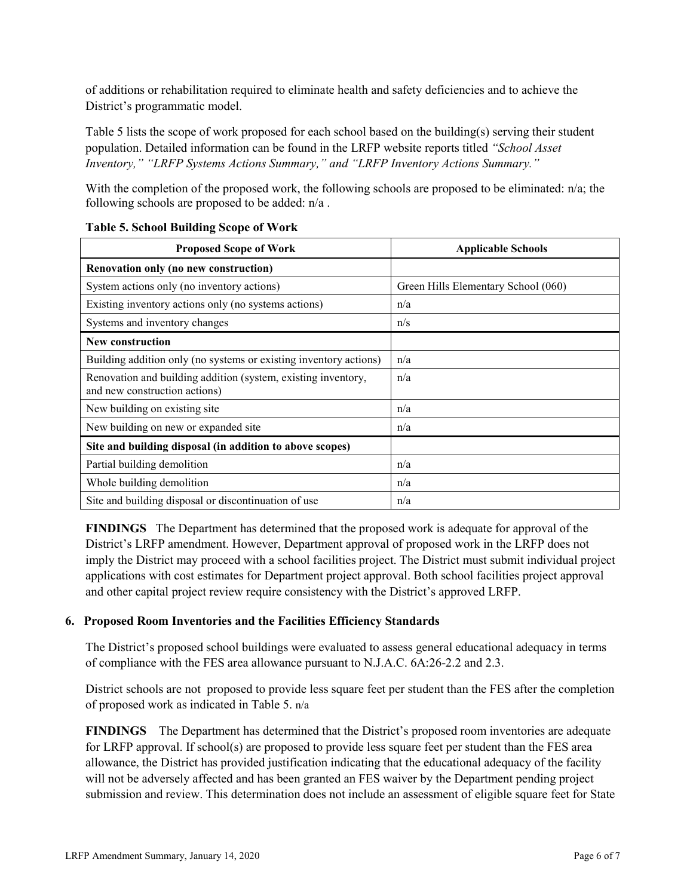of additions or rehabilitation required to eliminate health and safety deficiencies and to achieve the District's programmatic model.

Table 5 lists the scope of work proposed for each school based on the building(s) serving their student population. Detailed information can be found in the LRFP website reports titled *"School Asset Inventory," "LRFP Systems Actions Summary," and "LRFP Inventory Actions Summary."*

With the completion of the proposed work, the following schools are proposed to be eliminated: n/a; the following schools are proposed to be added: n/a .

| <b>Proposed Scope of Work</b>                                                                  | <b>Applicable Schools</b>           |
|------------------------------------------------------------------------------------------------|-------------------------------------|
| Renovation only (no new construction)                                                          |                                     |
| System actions only (no inventory actions)                                                     | Green Hills Elementary School (060) |
| Existing inventory actions only (no systems actions)                                           | n/a                                 |
| Systems and inventory changes                                                                  | n/s                                 |
| <b>New construction</b>                                                                        |                                     |
| Building addition only (no systems or existing inventory actions)                              | n/a                                 |
| Renovation and building addition (system, existing inventory,<br>and new construction actions) | n/a                                 |
| New building on existing site                                                                  | n/a                                 |
| New building on new or expanded site                                                           | n/a                                 |
| Site and building disposal (in addition to above scopes)                                       |                                     |
| Partial building demolition                                                                    | n/a                                 |
| Whole building demolition                                                                      | n/a                                 |
| Site and building disposal or discontinuation of use                                           | n/a                                 |

### **Table 5. School Building Scope of Work**

**FINDINGS** The Department has determined that the proposed work is adequate for approval of the District's LRFP amendment. However, Department approval of proposed work in the LRFP does not imply the District may proceed with a school facilities project. The District must submit individual project applications with cost estimates for Department project approval. Both school facilities project approval and other capital project review require consistency with the District's approved LRFP.

# **6. Proposed Room Inventories and the Facilities Efficiency Standards**

The District's proposed school buildings were evaluated to assess general educational adequacy in terms of compliance with the FES area allowance pursuant to N.J.A.C. 6A:26-2.2 and 2.3.

District schools are not proposed to provide less square feet per student than the FES after the completion of proposed work as indicated in Table 5. n/a

**FINDINGS** The Department has determined that the District's proposed room inventories are adequate for LRFP approval. If school(s) are proposed to provide less square feet per student than the FES area allowance, the District has provided justification indicating that the educational adequacy of the facility will not be adversely affected and has been granted an FES waiver by the Department pending project submission and review. This determination does not include an assessment of eligible square feet for State